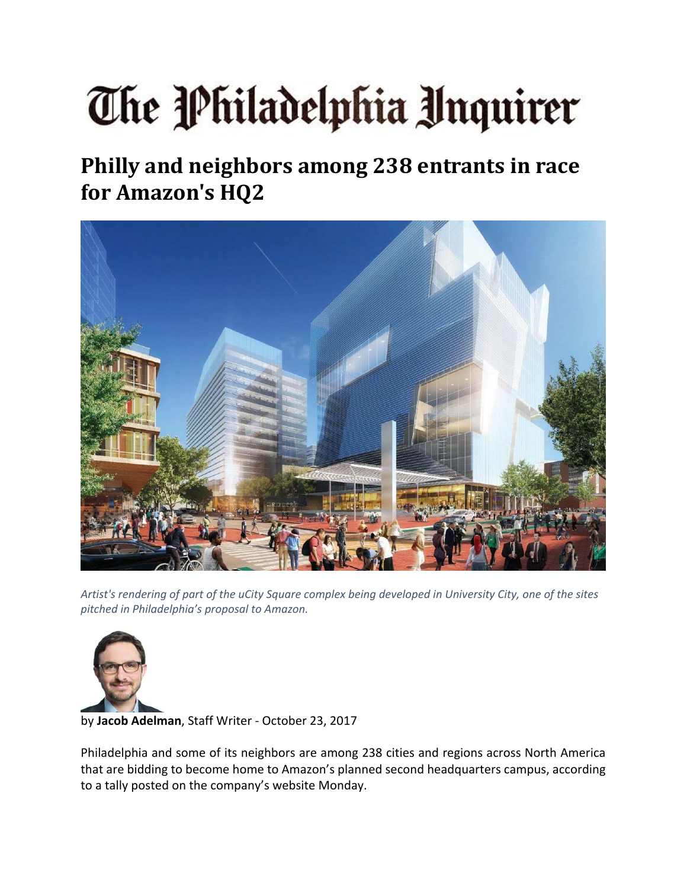## The Philadelphia Unquirer

## **Philly and neighbors among 238 entrants in race for Amazon's HQ2**



Artist's rendering of part of the uCity Square complex being developed in University City, one of the sites *pitched in Philadelphia's proposal to Amazon.*



by **Jacob Adelman**, Staff Writer ‐ October 23, 2017

Philadelphia and some of its neighbors are among 238 cities and regions across North America that are bidding to become home to Amazon's planned second headquarters campus, according to a tally posted on the company's website Monday.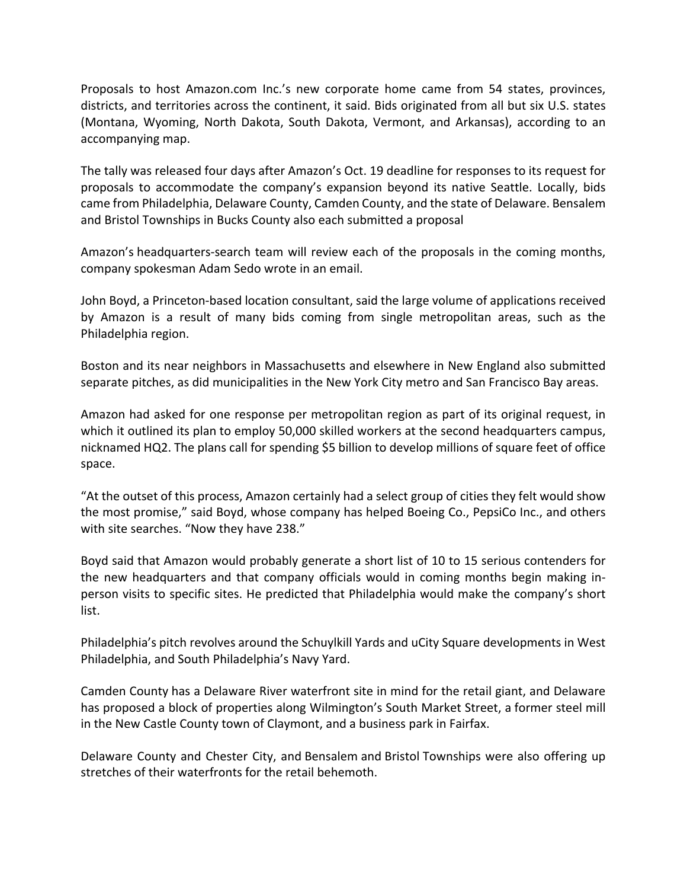Proposals to host Amazon.com Inc.'s new corporate home came from 54 states, provinces, districts, and territories across the continent, it said. Bids originated from all but six U.S. states (Montana, Wyoming, North Dakota, South Dakota, Vermont, and Arkansas), according to an accompanying map.

The tally was released four days after Amazon's Oct. 19 deadline for responses to its request for proposals to accommodate the company's expansion beyond its native Seattle. Locally, bids came from Philadelphia, Delaware County, Camden County, and the state of Delaware. Bensalem and Bristol Townships in Bucks County also each submitted a proposal

Amazon's headquarters‐search team will review each of the proposals in the coming months, company spokesman Adam Sedo wrote in an email.

John Boyd, a Princeton‐based location consultant, said the large volume of applications received by Amazon is a result of many bids coming from single metropolitan areas, such as the Philadelphia region.

Boston and its near neighbors in Massachusetts and elsewhere in New England also submitted separate pitches, as did municipalities in the New York City metro and San Francisco Bay areas.

Amazon had asked for one response per metropolitan region as part of its original request, in which it outlined its plan to employ 50,000 skilled workers at the second headquarters campus, nicknamed HQ2. The plans call for spending \$5 billion to develop millions of square feet of office space.

"At the outset of this process, Amazon certainly had a select group of cities they felt would show the most promise," said Boyd, whose company has helped Boeing Co., PepsiCo Inc., and others with site searches. "Now they have 238."

Boyd said that Amazon would probably generate a short list of 10 to 15 serious contenders for the new headquarters and that company officials would in coming months begin making in‐ person visits to specific sites. He predicted that Philadelphia would make the company's short list.

Philadelphia's pitch revolves around the Schuylkill Yards and uCity Square developments in West Philadelphia, and South Philadelphia's Navy Yard.

Camden County has a Delaware River waterfront site in mind for the retail giant, and Delaware has proposed a block of properties along Wilmington's South Market Street, a former steel mill in the New Castle County town of Claymont, and a business park in Fairfax.

Delaware County and Chester City, and Bensalem and Bristol Townships were also offering up stretches of their waterfronts for the retail behemoth.